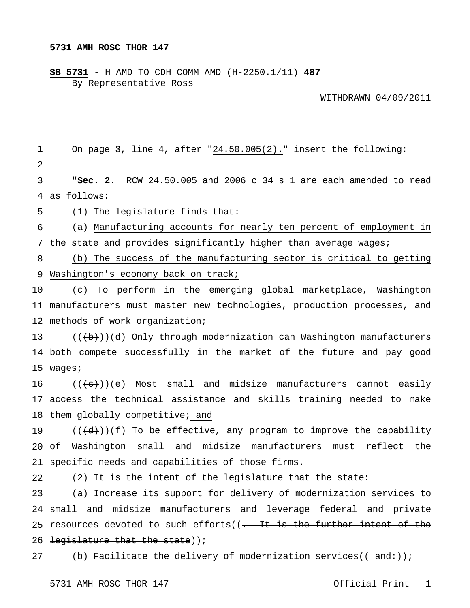**SB 5731** - H AMD TO CDH COMM AMD (H-2250.1/11) **487** By Representative Ross

WITHDRAWN 04/09/2011

1 2 3 4 as follows: 5 6 7 8 9 Washington's economy back on track; 10 11 manufacturers must master new technologies, production processes, and 12 methods of work organization; 13 14 both compete successfully in the market of the future and pay good 15 wages; 16 17 access the technical assistance and skills training needed to make 18 them globally competitive; and 19  $20$  of 21 specific needs and capabilities of those firms. 22 23 24 small and midsize manufacturers and leverage federal and private 25 resources devoted to such efforts((<del>. It is the further intent of the</del> 26 <del>legislature that the state</del>)) i On page 3, line 4, after "24.50.005(2)." insert the following: **"Sec. 2.** RCW 24.50.005 and 2006 c 34 s 1 are each amended to read (1) The legislature finds that: (a) Manufacturing accounts for nearly ten percent of employment in the state and provides significantly higher than average wages; (b) The success of the manufacturing sector is critical to getting (c) To perform in the emerging global marketplace, Washington  $((+b))$ (d) Only through modernization can Washington manufacturers  $((+e))$ (e) Most small and midsize manufacturers cannot easily  $((\langle d \rangle)(f)$  To be effective, any program to improve the capability Washington small and midsize manufacturers must reflect the (2) It is the intent of the legislature that the state: (a) Increase its support for delivery of modernization services to

27 (b) Facilitate the delivery of modernization services( $(-\text{and-})$ );